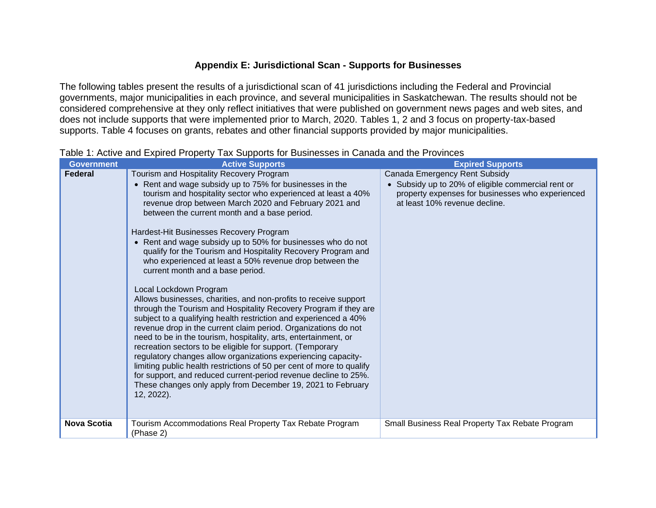## **Appendix E: Jurisdictional Scan - Supports for Businesses**

The following tables present the results of a jurisdictional scan of 41 jurisdictions including the Federal and Provincial governments, major municipalities in each province, and several municipalities in Saskatchewan. The results should not be considered comprehensive at they only reflect initiatives that were published on government news pages and web sites, and does not include supports that were implemented prior to March, 2020. Tables 1, 2 and 3 focus on property-tax-based supports. Table 4 focuses on grants, rebates and other financial supports provided by major municipalities.

| <b>Government</b>  | <b>Active Supports</b>                                                                                                                 | <b>Expired Supports</b>                                                                              |
|--------------------|----------------------------------------------------------------------------------------------------------------------------------------|------------------------------------------------------------------------------------------------------|
| Federal            | Tourism and Hospitality Recovery Program                                                                                               | Canada Emergency Rent Subsidy                                                                        |
|                    | • Rent and wage subsidy up to 75% for businesses in the<br>tourism and hospitality sector who experienced at least a 40%               | Subsidy up to 20% of eligible commercial rent or<br>property expenses for businesses who experienced |
|                    | revenue drop between March 2020 and February 2021 and                                                                                  | at least 10% revenue decline.                                                                        |
|                    | between the current month and a base period.                                                                                           |                                                                                                      |
|                    | Hardest-Hit Businesses Recovery Program                                                                                                |                                                                                                      |
|                    | • Rent and wage subsidy up to 50% for businesses who do not                                                                            |                                                                                                      |
|                    | qualify for the Tourism and Hospitality Recovery Program and<br>who experienced at least a 50% revenue drop between the                |                                                                                                      |
|                    | current month and a base period.                                                                                                       |                                                                                                      |
|                    |                                                                                                                                        |                                                                                                      |
|                    | Local Lockdown Program<br>Allows businesses, charities, and non-profits to receive support                                             |                                                                                                      |
|                    | through the Tourism and Hospitality Recovery Program if they are                                                                       |                                                                                                      |
|                    | subject to a qualifying health restriction and experienced a 40%                                                                       |                                                                                                      |
|                    | revenue drop in the current claim period. Organizations do not<br>need to be in the tourism, hospitality, arts, entertainment, or      |                                                                                                      |
|                    | recreation sectors to be eligible for support. (Temporary                                                                              |                                                                                                      |
|                    | regulatory changes allow organizations experiencing capacity-<br>limiting public health restrictions of 50 per cent of more to qualify |                                                                                                      |
|                    | for support, and reduced current-period revenue decline to 25%.                                                                        |                                                                                                      |
|                    | These changes only apply from December 19, 2021 to February                                                                            |                                                                                                      |
|                    | 12, 2022).                                                                                                                             |                                                                                                      |
|                    |                                                                                                                                        |                                                                                                      |
| <b>Nova Scotia</b> | Tourism Accommodations Real Property Tax Rebate Program                                                                                | Small Business Real Property Tax Rebate Program                                                      |
|                    | (Phase 2)                                                                                                                              |                                                                                                      |

Table 1: Active and Expired Property Tax Supports for Businesses in Canada and the Provinces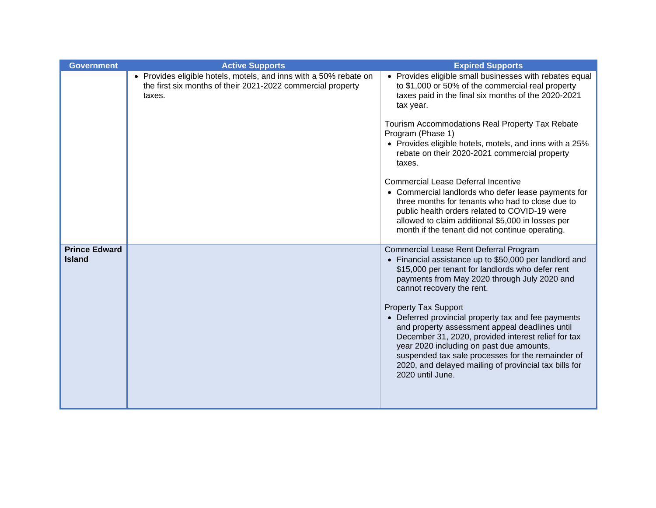| <b>Government</b>                     | <b>Active Supports</b>                                                                                                                     | <b>Expired Supports</b>                                                                                                                                                                                                                                                                                                                                                                                                                                                                                                                                                                                        |
|---------------------------------------|--------------------------------------------------------------------------------------------------------------------------------------------|----------------------------------------------------------------------------------------------------------------------------------------------------------------------------------------------------------------------------------------------------------------------------------------------------------------------------------------------------------------------------------------------------------------------------------------------------------------------------------------------------------------------------------------------------------------------------------------------------------------|
|                                       | • Provides eligible hotels, motels, and inns with a 50% rebate on<br>the first six months of their 2021-2022 commercial property<br>taxes. | • Provides eligible small businesses with rebates equal<br>to \$1,000 or 50% of the commercial real property<br>taxes paid in the final six months of the 2020-2021<br>tax year.                                                                                                                                                                                                                                                                                                                                                                                                                               |
|                                       |                                                                                                                                            | Tourism Accommodations Real Property Tax Rebate<br>Program (Phase 1)<br>• Provides eligible hotels, motels, and inns with a 25%<br>rebate on their 2020-2021 commercial property<br>taxes.                                                                                                                                                                                                                                                                                                                                                                                                                     |
|                                       |                                                                                                                                            | <b>Commercial Lease Deferral Incentive</b><br>• Commercial landlords who defer lease payments for<br>three months for tenants who had to close due to<br>public health orders related to COVID-19 were<br>allowed to claim additional \$5,000 in losses per<br>month if the tenant did not continue operating.                                                                                                                                                                                                                                                                                                 |
| <b>Prince Edward</b><br><b>Island</b> |                                                                                                                                            | Commercial Lease Rent Deferral Program<br>• Financial assistance up to \$50,000 per landlord and<br>\$15,000 per tenant for landlords who defer rent<br>payments from May 2020 through July 2020 and<br>cannot recovery the rent.<br><b>Property Tax Support</b><br>• Deferred provincial property tax and fee payments<br>and property assessment appeal deadlines until<br>December 31, 2020, provided interest relief for tax<br>year 2020 including on past due amounts,<br>suspended tax sale processes for the remainder of<br>2020, and delayed mailing of provincial tax bills for<br>2020 until June. |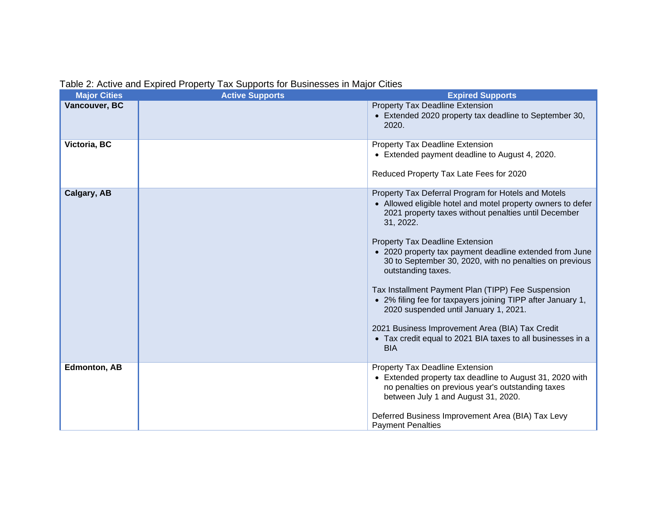| Table 2: Active and Expired Property Tax Supports for Businesses in Major Cities |  |  |
|----------------------------------------------------------------------------------|--|--|
|                                                                                  |  |  |

| <b>Major Cities</b> | <b>Active Supports</b> | <b>Expired Supports</b>                                                                                                                                                                                                                                                                                                                                                                                                                                                                                                                                                                                                                                              |
|---------------------|------------------------|----------------------------------------------------------------------------------------------------------------------------------------------------------------------------------------------------------------------------------------------------------------------------------------------------------------------------------------------------------------------------------------------------------------------------------------------------------------------------------------------------------------------------------------------------------------------------------------------------------------------------------------------------------------------|
| Vancouver, BC       |                        | <b>Property Tax Deadline Extension</b><br>• Extended 2020 property tax deadline to September 30,<br>2020.                                                                                                                                                                                                                                                                                                                                                                                                                                                                                                                                                            |
| Victoria, BC        |                        | Property Tax Deadline Extension<br>• Extended payment deadline to August 4, 2020.<br>Reduced Property Tax Late Fees for 2020                                                                                                                                                                                                                                                                                                                                                                                                                                                                                                                                         |
| Calgary, AB         |                        | Property Tax Deferral Program for Hotels and Motels<br>• Allowed eligible hotel and motel property owners to defer<br>2021 property taxes without penalties until December<br>31, 2022.<br>Property Tax Deadline Extension<br>• 2020 property tax payment deadline extended from June<br>30 to September 30, 2020, with no penalties on previous<br>outstanding taxes.<br>Tax Installment Payment Plan (TIPP) Fee Suspension<br>• 2% filing fee for taxpayers joining TIPP after January 1,<br>2020 suspended until January 1, 2021.<br>2021 Business Improvement Area (BIA) Tax Credit<br>• Tax credit equal to 2021 BIA taxes to all businesses in a<br><b>BIA</b> |
| <b>Edmonton, AB</b> |                        | Property Tax Deadline Extension<br>• Extended property tax deadline to August 31, 2020 with<br>no penalties on previous year's outstanding taxes<br>between July 1 and August 31, 2020.<br>Deferred Business Improvement Area (BIA) Tax Levy<br><b>Payment Penalties</b>                                                                                                                                                                                                                                                                                                                                                                                             |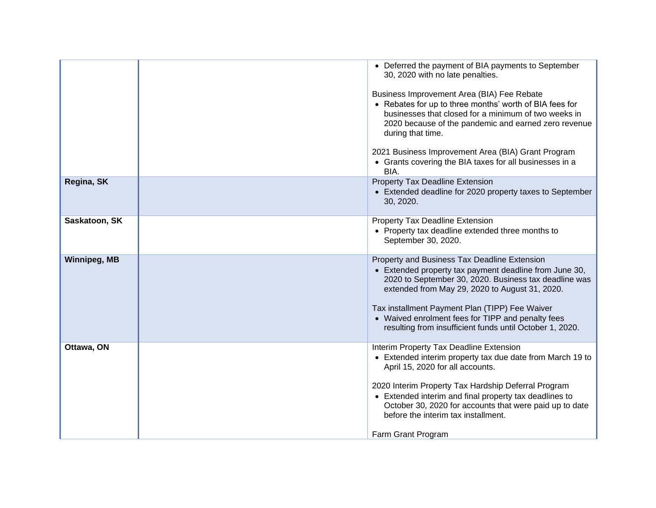|                     | • Deferred the payment of BIA payments to September<br>30, 2020 with no late penalties.<br>Business Improvement Area (BIA) Fee Rebate<br>• Rebates for up to three months' worth of BIA fees for<br>businesses that closed for a minimum of two weeks in<br>2020 because of the pandemic and earned zero revenue<br>during that time.<br>2021 Business Improvement Area (BIA) Grant Program<br>• Grants covering the BIA taxes for all businesses in a<br>BIA. |
|---------------------|----------------------------------------------------------------------------------------------------------------------------------------------------------------------------------------------------------------------------------------------------------------------------------------------------------------------------------------------------------------------------------------------------------------------------------------------------------------|
| Regina, SK          | Property Tax Deadline Extension<br>• Extended deadline for 2020 property taxes to September<br>30, 2020.                                                                                                                                                                                                                                                                                                                                                       |
| Saskatoon, SK       | Property Tax Deadline Extension<br>• Property tax deadline extended three months to<br>September 30, 2020.                                                                                                                                                                                                                                                                                                                                                     |
| <b>Winnipeg, MB</b> | Property and Business Tax Deadline Extension<br>• Extended property tax payment deadline from June 30,<br>2020 to September 30, 2020. Business tax deadline was<br>extended from May 29, 2020 to August 31, 2020.<br>Tax installment Payment Plan (TIPP) Fee Waiver<br>• Waived enrolment fees for TIPP and penalty fees<br>resulting from insufficient funds until October 1, 2020.                                                                           |
| Ottawa, ON          | Interim Property Tax Deadline Extension<br>• Extended interim property tax due date from March 19 to<br>April 15, 2020 for all accounts.<br>2020 Interim Property Tax Hardship Deferral Program<br>• Extended interim and final property tax deadlines to<br>October 30, 2020 for accounts that were paid up to date<br>before the interim tax installment.<br>Farm Grant Program                                                                              |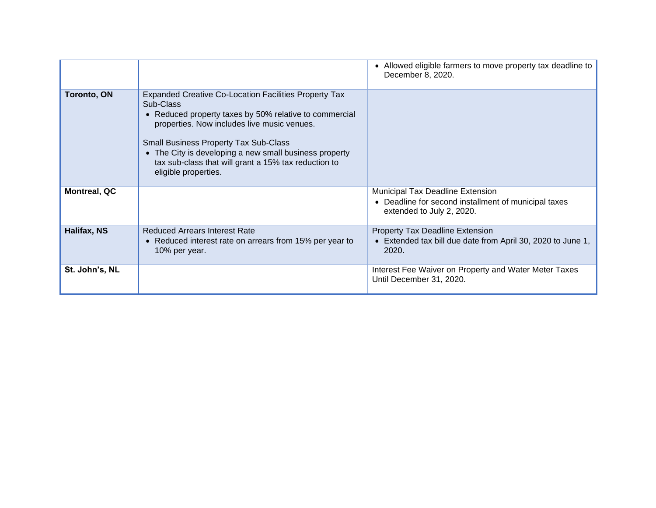|                     |                                                                                                                                                                                                                                                                                                                                                                              | • Allowed eligible farmers to move property tax deadline to<br>December 8, 2020.                                             |
|---------------------|------------------------------------------------------------------------------------------------------------------------------------------------------------------------------------------------------------------------------------------------------------------------------------------------------------------------------------------------------------------------------|------------------------------------------------------------------------------------------------------------------------------|
| <b>Toronto, ON</b>  | <b>Expanded Creative Co-Location Facilities Property Tax</b><br>Sub-Class<br>• Reduced property taxes by 50% relative to commercial<br>properties. Now includes live music venues.<br><b>Small Business Property Tax Sub-Class</b><br>• The City is developing a new small business property<br>tax sub-class that will grant a 15% tax reduction to<br>eligible properties. |                                                                                                                              |
| <b>Montreal, QC</b> |                                                                                                                                                                                                                                                                                                                                                                              | <b>Municipal Tax Deadline Extension</b><br>• Deadline for second installment of municipal taxes<br>extended to July 2, 2020. |
| Halifax, NS         | <b>Reduced Arrears Interest Rate</b><br>• Reduced interest rate on arrears from 15% per year to<br>10% per year.                                                                                                                                                                                                                                                             | <b>Property Tax Deadline Extension</b><br>• Extended tax bill due date from April 30, 2020 to June 1,<br>2020.               |
| St. John's, NL      |                                                                                                                                                                                                                                                                                                                                                                              | Interest Fee Waiver on Property and Water Meter Taxes<br>Until December 31, 2020.                                            |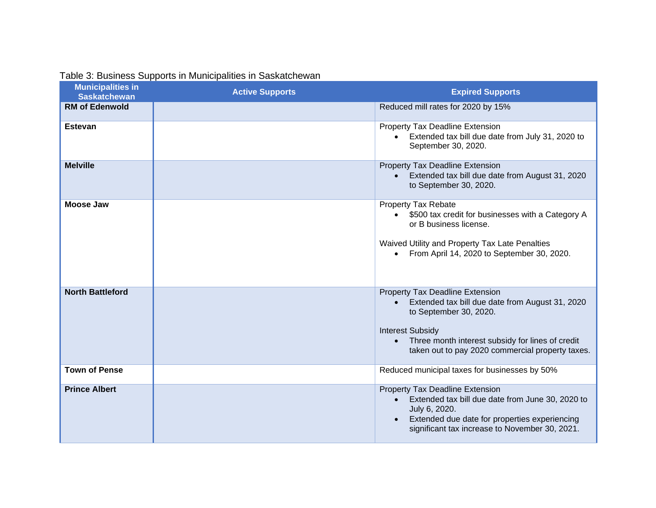| <b>Municipalities in</b><br><b>Saskatchewan</b> | <b>Active Supports</b> | <b>Expired Supports</b>                                                                                                                                                                                                                                      |
|-------------------------------------------------|------------------------|--------------------------------------------------------------------------------------------------------------------------------------------------------------------------------------------------------------------------------------------------------------|
| <b>RM of Edenwold</b>                           |                        | Reduced mill rates for 2020 by 15%                                                                                                                                                                                                                           |
| <b>Estevan</b>                                  |                        | Property Tax Deadline Extension<br>Extended tax bill due date from July 31, 2020 to<br>September 30, 2020.                                                                                                                                                   |
| <b>Melville</b>                                 |                        | Property Tax Deadline Extension<br>Extended tax bill due date from August 31, 2020<br>to September 30, 2020.                                                                                                                                                 |
| <b>Moose Jaw</b>                                |                        | Property Tax Rebate<br>\$500 tax credit for businesses with a Category A<br>$\bullet$<br>or B business license.<br>Waived Utility and Property Tax Late Penalties<br>From April 14, 2020 to September 30, 2020.<br>$\bullet$                                 |
| <b>North Battleford</b>                         |                        | Property Tax Deadline Extension<br>Extended tax bill due date from August 31, 2020<br>to September 30, 2020.<br><b>Interest Subsidy</b><br>Three month interest subsidy for lines of credit<br>$\bullet$<br>taken out to pay 2020 commercial property taxes. |
| <b>Town of Pense</b>                            |                        | Reduced municipal taxes for businesses by 50%                                                                                                                                                                                                                |
| <b>Prince Albert</b>                            |                        | Property Tax Deadline Extension<br>Extended tax bill due date from June 30, 2020 to<br>July 6, 2020.<br>Extended due date for properties experiencing<br>significant tax increase to November 30, 2021.                                                      |

## Table 3: Business Supports in Municipalities in Saskatchewan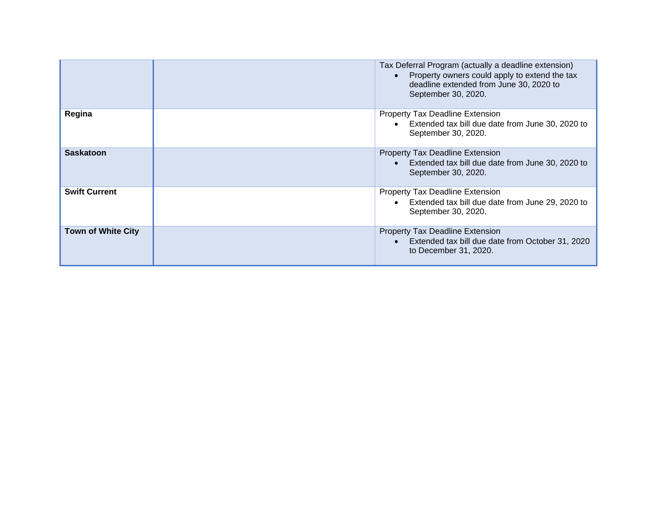|                           | Tax Deferral Program (actually a deadline extension)<br>Property owners could apply to extend the tax<br>deadline extended from June 30, 2020 to<br>September 30, 2020. |
|---------------------------|-------------------------------------------------------------------------------------------------------------------------------------------------------------------------|
| Regina                    | <b>Property Tax Deadline Extension</b><br>Extended tax bill due date from June 30, 2020 to<br>September 30, 2020.                                                       |
| <b>Saskatoon</b>          | <b>Property Tax Deadline Extension</b><br>Extended tax bill due date from June 30, 2020 to<br>September 30, 2020.                                                       |
| <b>Swift Current</b>      | Property Tax Deadline Extension<br>Extended tax bill due date from June 29, 2020 to<br>September 30, 2020.                                                              |
| <b>Town of White City</b> | <b>Property Tax Deadline Extension</b><br>Extended tax bill due date from October 31, 2020<br>to December 31, 2020.                                                     |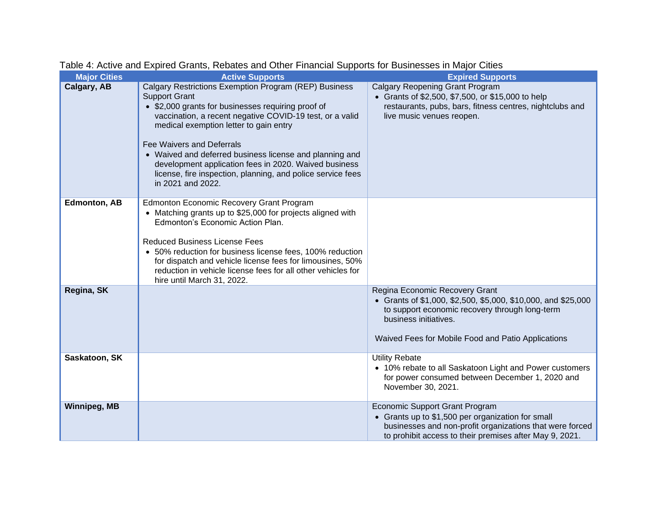| <b>Major Cities</b> | <b>Active Supports</b>                                                                                                                                                                                                                                                                                                                                                                                                                                                                | <b>Expired Supports</b>                                                                                                                                                                                                          |
|---------------------|---------------------------------------------------------------------------------------------------------------------------------------------------------------------------------------------------------------------------------------------------------------------------------------------------------------------------------------------------------------------------------------------------------------------------------------------------------------------------------------|----------------------------------------------------------------------------------------------------------------------------------------------------------------------------------------------------------------------------------|
| Calgary, AB         | Calgary Restrictions Exemption Program (REP) Business<br><b>Support Grant</b><br>• \$2,000 grants for businesses requiring proof of<br>vaccination, a recent negative COVID-19 test, or a valid<br>medical exemption letter to gain entry<br><b>Fee Waivers and Deferrals</b><br>• Waived and deferred business license and planning and<br>development application fees in 2020. Waived business<br>license, fire inspection, planning, and police service fees<br>in 2021 and 2022. | <b>Calgary Reopening Grant Program</b><br>• Grants of \$2,500, \$7,500, or \$15,000 to help<br>restaurants, pubs, bars, fitness centres, nightclubs and<br>live music venues reopen.                                             |
| <b>Edmonton, AB</b> | <b>Edmonton Economic Recovery Grant Program</b><br>• Matching grants up to \$25,000 for projects aligned with<br>Edmonton's Economic Action Plan.<br><b>Reduced Business License Fees</b><br>• 50% reduction for business license fees, 100% reduction<br>for dispatch and vehicle license fees for limousines, 50%<br>reduction in vehicle license fees for all other vehicles for<br>hire until March 31, 2022.                                                                     |                                                                                                                                                                                                                                  |
| Regina, SK          |                                                                                                                                                                                                                                                                                                                                                                                                                                                                                       | Regina Economic Recovery Grant<br>• Grants of \$1,000, \$2,500, \$5,000, \$10,000, and \$25,000<br>to support economic recovery through long-term<br>business initiatives.<br>Waived Fees for Mobile Food and Patio Applications |
| Saskatoon, SK       |                                                                                                                                                                                                                                                                                                                                                                                                                                                                                       | <b>Utility Rebate</b><br>• 10% rebate to all Saskatoon Light and Power customers<br>for power consumed between December 1, 2020 and<br>November 30, 2021.                                                                        |
| <b>Winnipeg, MB</b> |                                                                                                                                                                                                                                                                                                                                                                                                                                                                                       | <b>Economic Support Grant Program</b><br>• Grants up to \$1,500 per organization for small<br>businesses and non-profit organizations that were forced<br>to prohibit access to their premises after May 9, 2021.                |

Table 4: Active and Expired Grants, Rebates and Other Financial Supports for Businesses in Major Cities